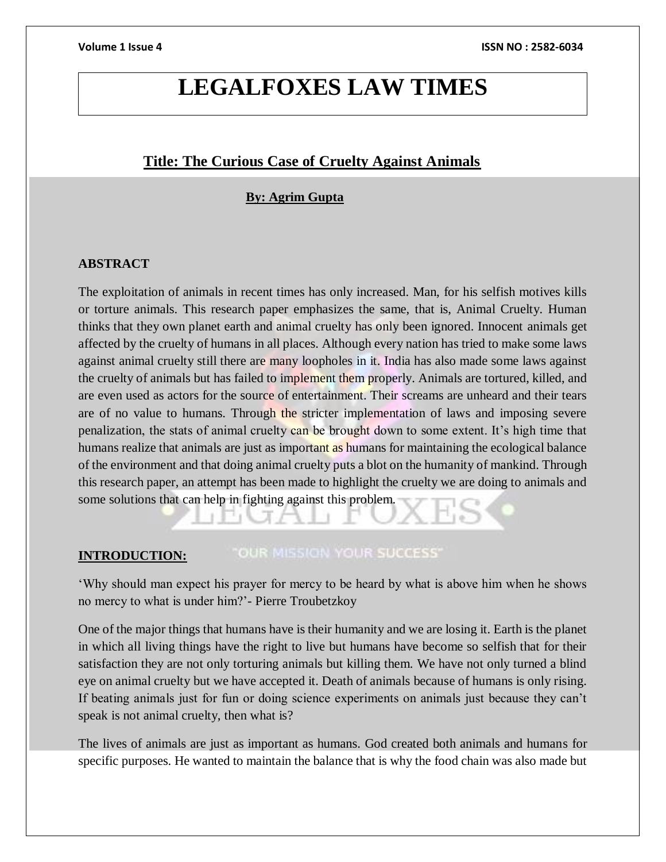## **LEGALFOXES LAW TIMES**

### **Title: The Curious Case of Cruelty Against Animals**

### **By: Agrim Gupta**

### **ABSTRACT**

The exploitation of animals in recent times has only increased. Man, for his selfish motives kills or torture animals. This research paper emphasizes the same, that is, Animal Cruelty. Human thinks that they own planet earth and animal cruelty has only been ignored. Innocent animals get affected by the cruelty of humans in all places. Although every nation has tried to make some laws against animal cruelty still there are many loopholes in it. India has also made some laws against the cruelty of animals but has failed to implement them properly. Animals are tortured, killed, and are even used as actors for the source of entertainment. Their screams are unheard and their tears are of no value to humans. Through the stricter implementation of laws and imposing severe penalization, the stats of animal cruelty can be brought down to some extent. It's high time that humans realize that animals are just as important as humans for maintaining the ecological balance of the environment and that doing animal cruelty puts a blot on the humanity of mankind. Through this research paper, an attempt has been made to highlight the cruelty we are doing to animals and some solutions that can help in fighting against this problem.

### "OUR MISSION YOUR SUCCESS" **INTRODUCTION:**

'Why should man expect his prayer for mercy to be heard by what is above him when he shows no mercy to what is under him?'- Pierre Troubetzkoy

One of the major things that humans have is their humanity and we are losing it. Earth is the planet in which all living things have the right to live but humans have become so selfish that for their satisfaction they are not only torturing animals but killing them. We have not only turned a blind eye on animal cruelty but we have accepted it. Death of animals because of humans is only rising. If beating animals just for fun or doing science experiments on animals just because they can't speak is not animal cruelty, then what is?

The lives of animals are just as important as humans. God created both animals and humans for specific purposes. He wanted to maintain the balance that is why the food chain was also made but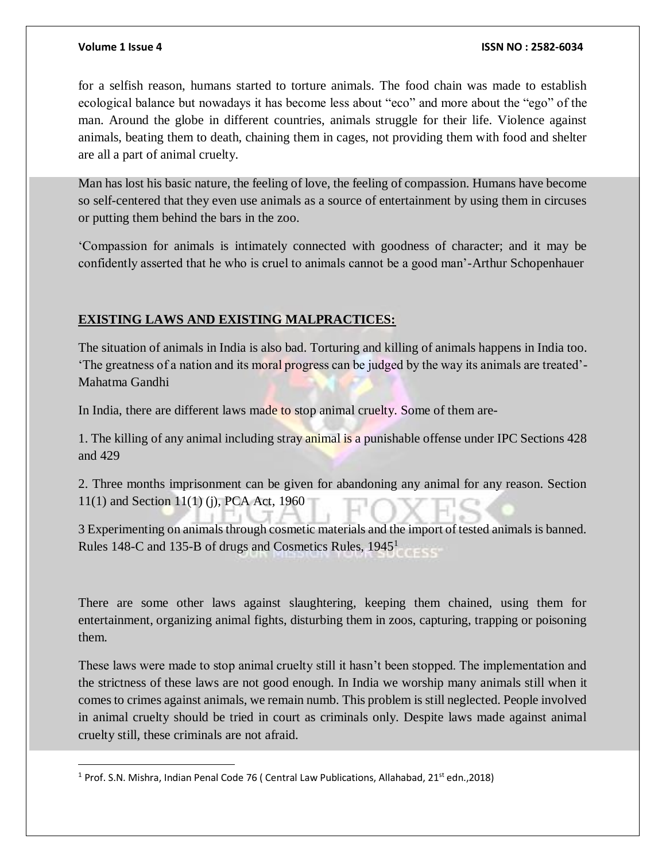$\overline{a}$ 

for a selfish reason, humans started to torture animals. The food chain was made to establish ecological balance but nowadays it has become less about "eco" and more about the "ego" of the man. Around the globe in different countries, animals struggle for their life. Violence against animals, beating them to death, chaining them in cages, not providing them with food and shelter are all a part of animal cruelty.

Man has lost his basic nature, the feeling of love, the feeling of compassion. Humans have become so self-centered that they even use animals as a source of entertainment by using them in circuses or putting them behind the bars in the zoo.

'Compassion for animals is intimately connected with goodness of character; and it may be confidently asserted that he who is cruel to animals cannot be a good man'-Arthur Schopenhauer

### **EXISTING LAWS AND EXISTING MALPRACTICES:**

The situation of animals in India is also bad. Torturing and killing of animals happens in India too. 'The greatness of a nation and its moral progress can be judged by the way its animals are treated'- Mahatma Gandhi

In India, there are different laws made to stop animal cruelty. Some of them are-

1. The killing of any animal including stray animal is a punishable offense under IPC Sections 428 and 429

2. Three months imprisonment can be given for abandoning any animal for any reason. Section 11(1) and Section 11(1) (j), PCA Act, 1960

3 Experimenting on animals through cosmetic materials and the import of tested animals is banned. Rules 148-C and 135-B of drugs and Cosmetics Rules, 1945<sup>1</sup>

There are some other laws against slaughtering, keeping them chained, using them for entertainment, organizing animal fights, disturbing them in zoos, capturing, trapping or poisoning them.

These laws were made to stop animal cruelty still it hasn't been stopped. The implementation and the strictness of these laws are not good enough. In India we worship many animals still when it comes to crimes against animals, we remain numb. This problem is still neglected. People involved in animal cruelty should be tried in court as criminals only. Despite laws made against animal cruelty still, these criminals are not afraid.

<sup>&</sup>lt;sup>1</sup> Prof. S.N. Mishra, Indian Penal Code 76 ( Central Law Publications, Allahabad, 21<sup>st</sup> edn., 2018)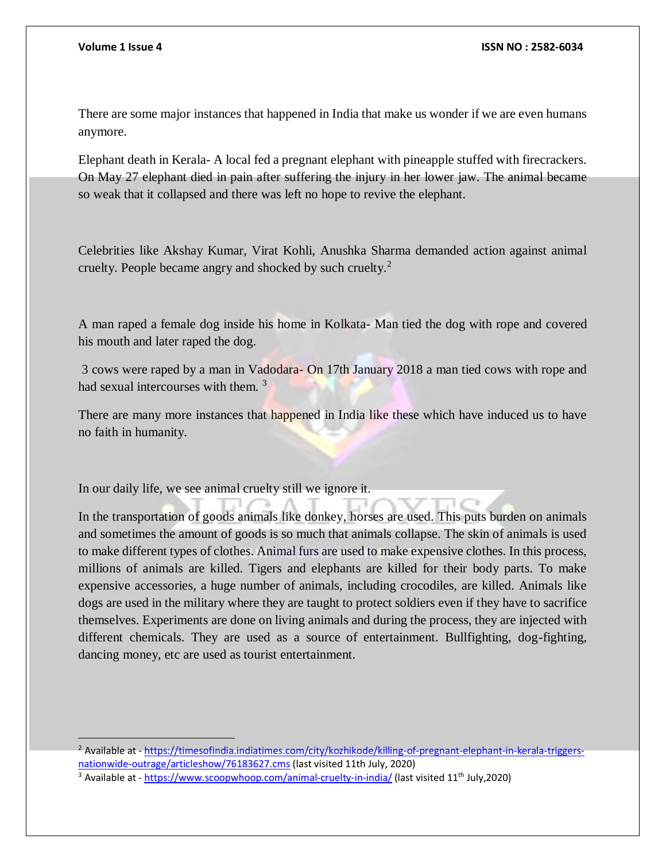$\overline{a}$ 

There are some major instances that happened in India that make us wonder if we are even humans anymore.

Elephant death in Kerala- A local fed a pregnant elephant with pineapple stuffed with firecrackers. On May 27 elephant died in pain after suffering the injury in her lower jaw. The animal became so weak that it collapsed and there was left no hope to revive the elephant.

Celebrities like Akshay Kumar, Virat Kohli, Anushka Sharma demanded action against animal cruelty. People became angry and shocked by such cruelty.<sup>2</sup>

A man raped a female dog inside his home in Kolkata- Man tied the dog with rope and covered his mouth and later raped the dog.

3 cows were raped by a man in Vadodara- On 17th January 2018 a man tied cows with rope and had sexual intercourses with them.<sup>3</sup>

There are many more instances that happened in India like these which have induced us to have no faith in humanity.

In our daily life, we see animal cruelty still we ignore it.

In the transportation of goods animals like donkey, horses are used. This puts burden on animals and sometimes the amount of goods is so much that animals collapse. The skin of animals is used to make different types of clothes. Animal furs are used to make expensive clothes. In this process, millions of animals are killed. Tigers and elephants are killed for their body parts. To make expensive accessories, a huge number of animals, including crocodiles, are killed. Animals like dogs are used in the military where they are taught to protect soldiers even if they have to sacrifice themselves. Experiments are done on living animals and during the process, they are injected with different chemicals. They are used as a source of entertainment. Bullfighting, dog-fighting, dancing money, etc are used as tourist entertainment.

<sup>&</sup>lt;sup>2</sup> Available at - [https://timesofindia.indiatimes.com/city/kozhikode/killing-of-pregnant-elephant-in-kerala-triggers](https://timesofindia.indiatimes.com/city/kozhikode/killing-of-pregnant-elephant-in-kerala-triggers-nationwide-outrage/articleshow/76183627.cms)[nationwide-outrage/articleshow/76183627.cms](https://timesofindia.indiatimes.com/city/kozhikode/killing-of-pregnant-elephant-in-kerala-triggers-nationwide-outrage/articleshow/76183627.cms) (last visited 11th July, 2020)

<sup>&</sup>lt;sup>3</sup> Available at - <https://www.scoopwhoop.com/animal-cruelty-in-india/> (last visited 11<sup>th</sup> July,2020)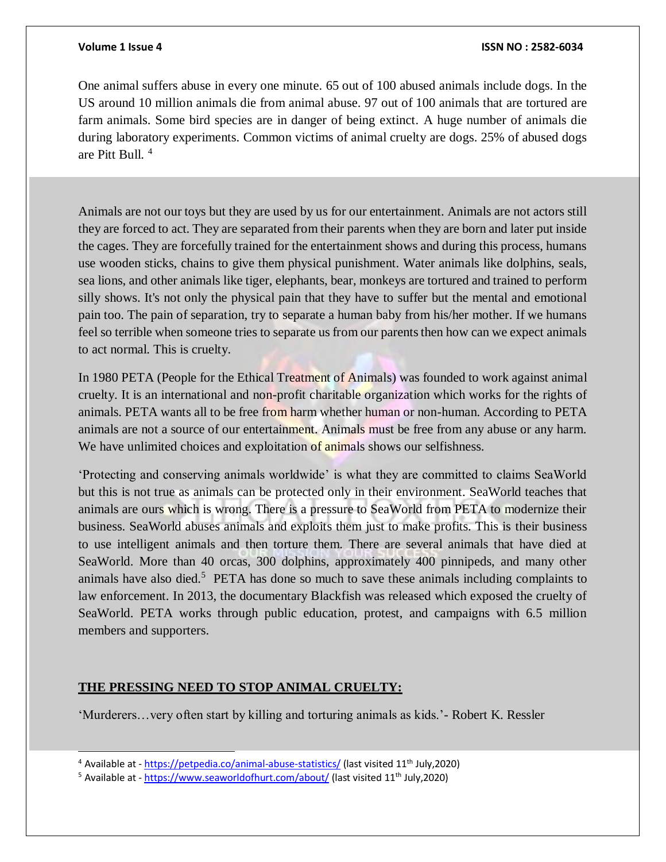One animal suffers abuse in every one minute. 65 out of 100 abused animals include dogs. In the US around 10 million animals die from animal abuse. 97 out of 100 animals that are tortured are farm animals. Some bird species are in danger of being extinct. A huge number of animals die during laboratory experiments. Common victims of animal cruelty are dogs. 25% of abused dogs are Pitt Bull. <sup>4</sup>

Animals are not our toys but they are used by us for our entertainment. Animals are not actors still they are forced to act. They are separated from their parents when they are born and later put inside the cages. They are forcefully trained for the entertainment shows and during this process, humans use wooden sticks, chains to give them physical punishment. Water animals like dolphins, seals, sea lions, and other animals like tiger, elephants, bear, monkeys are tortured and trained to perform silly shows. It's not only the physical pain that they have to suffer but the mental and emotional pain too. The pain of separation, try to separate a human baby from his/her mother. If we humans feel so terrible when someone tries to separate us from our parents then how can we expect animals to act normal. This is cruelty.

In 1980 PETA (People for the Ethical Treatment of Animals) was founded to work against animal cruelty. It is an international and non-profit charitable organization which works for the rights of animals. PETA wants all to be free from harm whether human or non-human. According to PETA animals are not a source of our entertainment. Animals must be free from any abuse or any harm. We have unlimited choices and exploitation of animals shows our selfishness.

'Protecting and conserving animals worldwide' is what they are committed to claims SeaWorld but this is not true as animals can be protected only in their environment. SeaWorld teaches that animals are ours which is wrong. There is a pressure to SeaWorld from PETA to modernize their business. SeaWorld abuses animals and exploits them just to make profits. This is their business to use intelligent animals and then torture them. There are several animals that have died at SeaWorld. More than 40 orcas, 300 dolphins, approximately 400 pinnipeds, and many other animals have also died.<sup>5</sup> PETA has done so much to save these animals including complaints to law enforcement. In 2013, the documentary Blackfish was released which exposed the cruelty of SeaWorld. PETA works through public education, protest, and campaigns with 6.5 million members and supporters.

### **THE PRESSING NEED TO STOP ANIMAL CRUELTY:**

l

'Murderers…very often start by killing and torturing animals as kids.'- Robert K. Ressler

<sup>&</sup>lt;sup>4</sup> Available at - <https://petpedia.co/animal-abuse-statistics/> (last visited 11<sup>th</sup> July,2020)

 $5$  Available at - <https://www.seaworldofhurt.com/about/> (last visited 11<sup>th</sup> July,2020)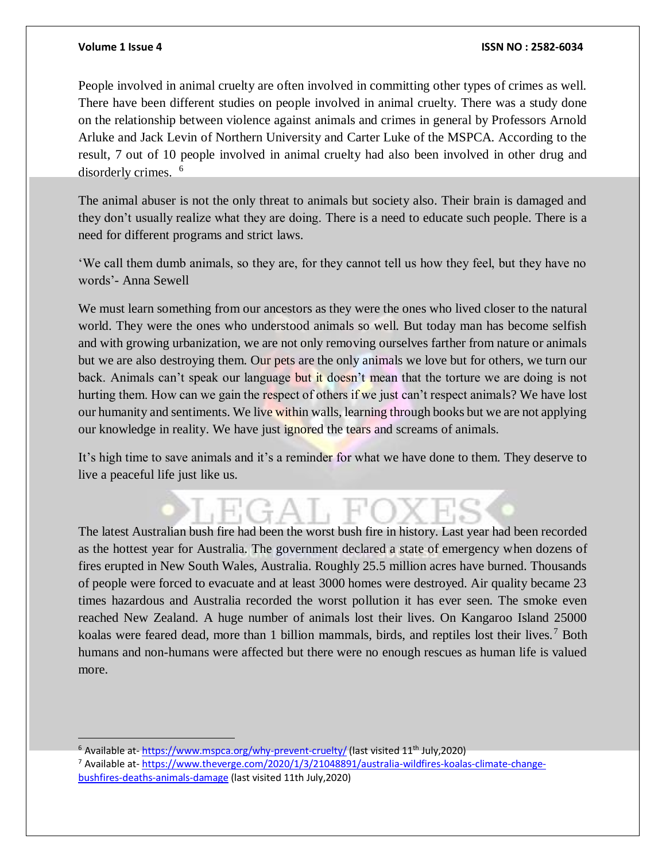$\overline{a}$ 

### **Volume 1 Issue 4 ISSN NO : 2582-6034**

People involved in animal cruelty are often involved in committing other types of crimes as well. There have been different studies on people involved in animal cruelty. There was a study done on the relationship between violence against animals and crimes in general by Professors Arnold Arluke and Jack Levin of Northern University and Carter Luke of the MSPCA. According to the result, 7 out of 10 people involved in animal cruelty had also been involved in other drug and disorderly crimes. <sup>6</sup>

The animal abuser is not the only threat to animals but society also. Their brain is damaged and they don't usually realize what they are doing. There is a need to educate such people. There is a need for different programs and strict laws.

'We call them dumb animals, so they are, for they cannot tell us how they feel, but they have no words'- Anna Sewell

We must learn something from our ancestors as they were the ones who lived closer to the natural world. They were the ones who understood animals so well. But today man has become selfish and with growing urbanization, we are not only removing ourselves farther from nature or animals but we are also destroying them. Our pets are the only animals we love but for others, we turn our back. Animals can't speak our language but it doesn't mean that the torture we are doing is not hurting them. How can we gain the respect of others if we just can't respect animals? We have lost our humanity and sentiments. We live within walls, learning through books but we are not applying our knowledge in reality. We have just ignored the tears and screams of animals.

It's high time to save animals and it's a reminder for what we have done to them. They deserve to live a peaceful life just like us.

The latest Australian bush fire had been the worst bush fire in history. Last year had been recorded as the hottest year for Australia. The government declared a state of emergency when dozens of fires erupted in New South Wales, Australia. Roughly 25.5 million acres have burned. Thousands of people were forced to evacuate and at least 3000 homes were destroyed. Air quality became 23 times hazardous and Australia recorded the worst pollution it has ever seen. The smoke even reached New Zealand. A huge number of animals lost their lives. On Kangaroo Island 25000 koalas were feared dead, more than 1 billion mammals, birds, and reptiles lost their lives.<sup>7</sup> Both humans and non-humans were affected but there were no enough rescues as human life is valued more.

<sup>&</sup>lt;sup>6</sup> Available at-<https://www.mspca.org/why-prevent-cruelty/> (last visited 11<sup>th</sup> July,2020)

<sup>7</sup> Available at- [https://www.theverge.com/2020/1/3/21048891/australia-wildfires-koalas-climate-change](https://www.theverge.com/2020/1/3/21048891/australia-wildfires-koalas-climate-change-bushfires-deaths-animals-damage)[bushfires-deaths-animals-damage](https://www.theverge.com/2020/1/3/21048891/australia-wildfires-koalas-climate-change-bushfires-deaths-animals-damage) (last visited 11th July,2020)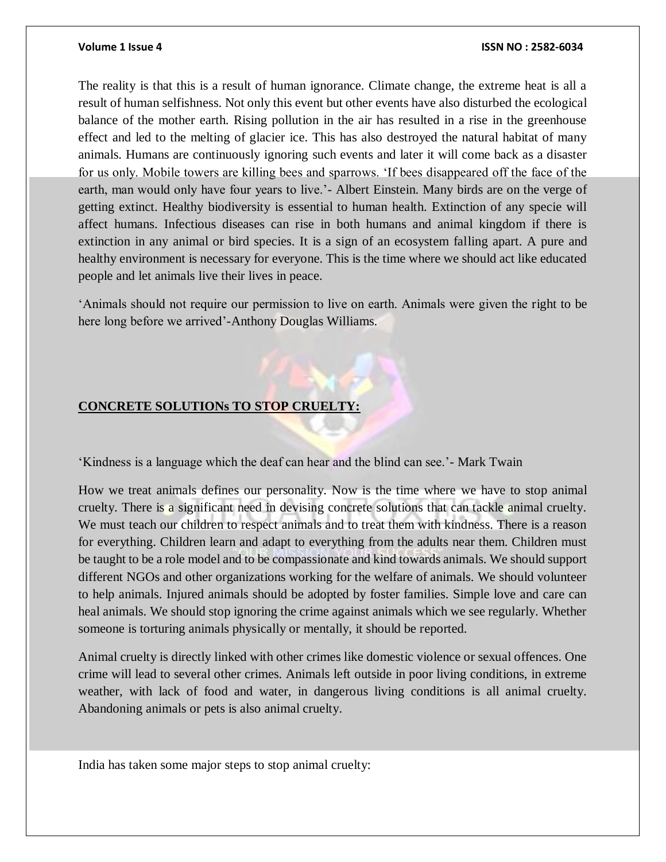The reality is that this is a result of human ignorance. Climate change, the extreme heat is all a result of human selfishness. Not only this event but other events have also disturbed the ecological balance of the mother earth. Rising pollution in the air has resulted in a rise in the greenhouse effect and led to the melting of glacier ice. This has also destroyed the natural habitat of many animals. Humans are continuously ignoring such events and later it will come back as a disaster for us only. Mobile towers are killing bees and sparrows. 'If bees disappeared off the face of the earth, man would only have four years to live.'- Albert Einstein. Many birds are on the verge of getting extinct. Healthy biodiversity is essential to human health. Extinction of any specie will affect humans. Infectious diseases can rise in both humans and animal kingdom if there is extinction in any animal or bird species. It is a sign of an ecosystem falling apart. A pure and healthy environment is necessary for everyone. This is the time where we should act like educated people and let animals live their lives in peace.

'Animals should not require our permission to live on earth. Animals were given the right to be here long before we arrived'-Anthony Douglas Williams.

### **CONCRETE SOLUTIONs TO STOP CRUELTY:**

'Kindness is a language which the deaf can hear and the blind can see.'- Mark Twain

How we treat animals defines our personality. Now is the time where we have to stop animal cruelty. There is a significant need in devising concrete solutions that can tackle animal cruelty. We must teach our children to respect animals and to treat them with kindness. There is a reason for everything. Children learn and adapt to everything from the adults near them. Children must be taught to be a role model and to be compassionate and kind towards animals. We should support different NGOs and other organizations working for the welfare of animals. We should volunteer to help animals. Injured animals should be adopted by foster families. Simple love and care can heal animals. We should stop ignoring the crime against animals which we see regularly. Whether someone is torturing animals physically or mentally, it should be reported.

Animal cruelty is directly linked with other crimes like domestic violence or sexual offences. One crime will lead to several other crimes. Animals left outside in poor living conditions, in extreme weather, with lack of food and water, in dangerous living conditions is all animal cruelty. Abandoning animals or pets is also animal cruelty.

India has taken some major steps to stop animal cruelty: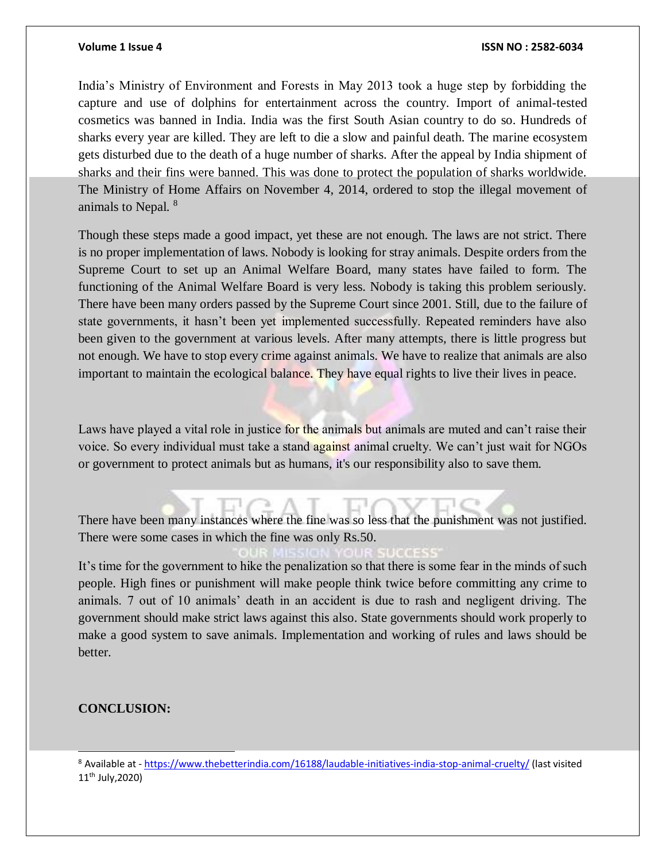### **Volume 1 Issue 4 ISSN NO : 2582-6034**

India's Ministry of Environment and Forests in May 2013 took a huge step by forbidding the capture and use of dolphins for entertainment across the country. Import of animal-tested cosmetics was banned in India. India was the first South Asian country to do so. Hundreds of sharks every year are killed. They are left to die a slow and painful death. The marine ecosystem gets disturbed due to the death of a huge number of sharks. After the appeal by India shipment of sharks and their fins were banned. This was done to protect the population of sharks worldwide. The Ministry of Home Affairs on November 4, 2014, ordered to stop the illegal movement of animals to Nepal. <sup>8</sup>

Though these steps made a good impact, yet these are not enough. The laws are not strict. There is no proper implementation of laws. Nobody is looking for stray animals. Despite orders from the Supreme Court to set up an Animal Welfare Board, many states have failed to form. The functioning of the Animal Welfare Board is very less. Nobody is taking this problem seriously. There have been many orders passed by the Supreme Court since 2001. Still, due to the failure of state governments, it hasn't been yet implemented successfully. Repeated reminders have also been given to the government at various levels. After many attempts, there is little progress but not enough. We have to stop every crime against animals. We have to realize that animals are also important to maintain the ecological balance. They have equal rights to live their lives in peace.

Laws have played a vital role in justice for the animals but animals are muted and can't raise their voice. So every individual must take a stand against animal cruelty. We can't just wait for NGOs or government to protect animals but as humans, it's our responsibility also to save them.

There have been many instances where the fine was so less that the punishment was not justified. There were some cases in which the fine was only Rs.50.

It's time for the government to hike the penalization so that there is some fear in the minds of such people. High fines or punishment will make people think twice before committing any crime to animals. 7 out of 10 animals' death in an accident is due to rash and negligent driving. The government should make strict laws against this also. State governments should work properly to make a good system to save animals. Implementation and working of rules and laws should be better.

### **CONCLUSION:**

l

<sup>8</sup> Available at - <https://www.thebetterindia.com/16188/laudable-initiatives-india-stop-animal-cruelty/> (last visited 11th July,2020)